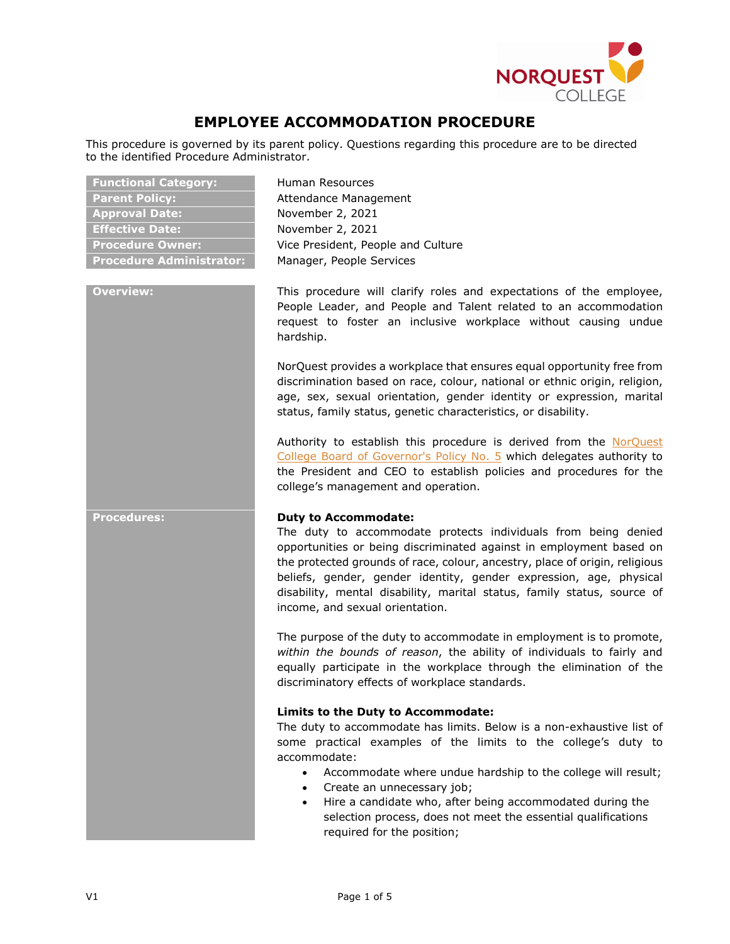

# **EMPLOYEE ACCOMMODATION PROCEDURE**

This procedure is governed by its parent policy. Questions regarding this procedure are to be directed to the identified Procedure Administrator.

| <b>Functional Category:</b>     |
|---------------------------------|
| <b>Parent Policy:</b>           |
| <b>Approval Date:</b>           |
| <b>Effective Date:</b>          |
| <b>Procedure Owner:</b>         |
| <b>Procedure Administrator:</b> |

**Functional Category:** Human Resources **Attendance Management Approval Date:** November 2, 2021 **Effective Date:** November 2, 2021 **Vice President, People and Culture Manager, People Services** 

**Overview:** This procedure will clarify roles and expectations of the employee, People Leader, and People and Talent related to an accommodation request to foster an inclusive workplace without causing undue hardship.

> NorQuest provides a workplace that ensures equal opportunity free from [discrimination](https://www.csc-scc.gc.ca/politiques-et-lois/254-3-gl-en.shtml#d2) based on race, colour, national or ethnic origin, religion, age, sex, sexual orientation, gender identity or expression, marital status, family status, genetic characteristics, or disability.

> Authority to establish this procedure is derived from the [NorQuest](https://www.norquest.ca/NorquestCollege/media/pdf/about-us/board/policies-procedures/05-Board-Policy_Delegate_authority_to_President.pdf) College Board of [Governor's](https://www.norquest.ca/NorquestCollege/media/pdf/about-us/board/policies-procedures/05-Board-Policy_Delegate_authority_to_President.pdf) Policy No. 5 which delegates authority to the President and CEO to establish policies and procedures for the college's management and operation.

### **Procedures: Duty to Accommodate:**

The duty to accommodate protects individuals from being denied opportunities or being discriminated against in employment based on the protected grounds of race, colour, ancestry, place of origin, religious beliefs, gender, gender identity, gender expression, age, physical disability, mental disability, marital status, family status, source of income, and sexual orientation.

The purpose of the duty to accommodate in employment is to promote, *within the bounds of reason*, the ability of individuals to fairly and equally participate in the workplace through the elimination of the discriminatory effects of workplace standards.

# **Limits to the Duty to Accommodate:**

The duty to accommodate has limits. Below is a non-exhaustive list of some practical examples of the limits to the college's duty to accommodate:

- Accommodate where undue hardship to the college will result;
- Create an unnecessary job;
- Hire a candidate who, after being accommodated during the selection process, does not meet the essential qualifications required for the position;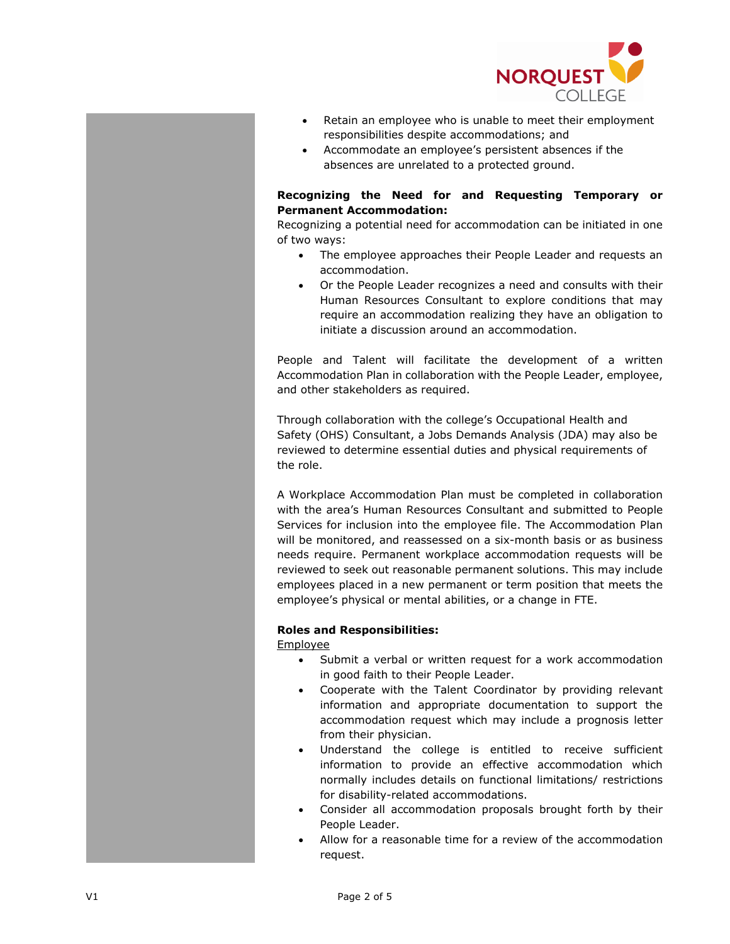

- Retain an employee who is unable to meet their employment responsibilities despite accommodations; and
- Accommodate an employee's persistent absences if the absences are unrelated to a protected ground.

### **Recognizing the Need for and Requesting Temporary or Permanent Accommodation:**

Recognizing a potential need for accommodation can be initiated in one of two ways:

- The employee approaches their People Leader and requests an accommodation.
- Or the People Leader recognizes a need and consults with their Human Resources Consultant to explore conditions that may require an accommodation realizing they have an obligation to initiate a discussion around an accommodation.

People and Talent will facilitate the development of a written Accommodation Plan in collaboration with the People Leader, employee, and other stakeholders as required.

Through collaboration with the college's Occupational Health and Safety (OHS) Consultant, a Jobs Demands Analysis (JDA) may also be reviewed to determine essential duties and physical requirements of the role.

A Workplace Accommodation Plan must be completed in collaboration with the area's Human Resources Consultant and submitted to People Services for inclusion into the employee file. The Accommodation Plan will be monitored, and reassessed on a six-month basis or as business needs require. Permanent workplace accommodation requests will be reviewed to seek out reasonable permanent solutions. This may include employees placed in a new permanent or term position that meets the employee's physical or mental abilities, or a change in FTE.

# **Roles and Responsibilities:**

Employee

- Submit a verbal or written request for a work accommodation in good faith to their People Leader.
- Cooperate with the Talent Coordinator by providing relevant information and appropriate documentation to support the accommodation request which may include a prognosis letter from their physician.
- Understand the college is entitled to receive sufficient information to provide an effective accommodation which normally includes details on functional limitations/ restrictions for disability-related accommodations.
- Consider all accommodation proposals brought forth by their People Leader.
- Allow for a reasonable time for a review of the accommodation request.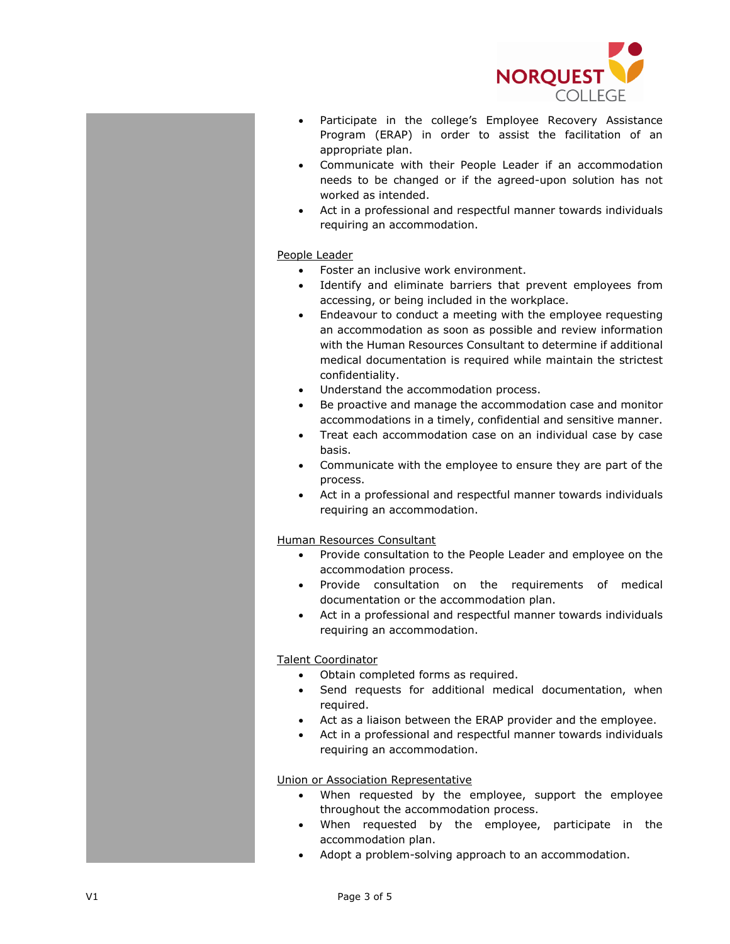

- Participate in the college's Employee Recovery Assistance Program (ERAP) in order to assist the facilitation of an appropriate plan.
- Communicate with their People Leader if an accommodation needs to be changed or if the agreed-upon solution has not worked as intended.
- Act in a professional and respectful manner towards individuals requiring an accommodation.

### People Leader

- Foster an inclusive work environment.
- Identify and eliminate barriers that prevent employees from accessing, or being included in the workplace.
- Endeavour to conduct a meeting with the employee requesting an accommodation as soon as possible and review information with the Human Resources Consultant to determine if additional medical documentation is required while maintain the strictest confidentiality.
- Understand the accommodation process.
- Be proactive and manage the accommodation case and monitor accommodations in a timely, confidential and sensitive manner.
- Treat each accommodation case on an individual case by case basis.
- Communicate with the employee to ensure they are part of the process.
- Act in a professional and respectful manner towards individuals requiring an accommodation.

### Human Resources Consultant

- Provide consultation to the People Leader and employee on the accommodation process.
- Provide consultation on the requirements of medical documentation or the accommodation plan.
- Act in a professional and respectful manner towards individuals requiring an accommodation.

# Talent Coordinator

- Obtain completed forms as required.
- Send requests for additional medical documentation, when required.
- Act as a liaison between the ERAP provider and the employee.
- Act in a professional and respectful manner towards individuals requiring an accommodation.

### Union or Association Representative

- When requested by the employee, support the employee throughout the accommodation process.
- When requested by the employee, participate in the accommodation plan.
- Adopt a problem-solving approach to an accommodation.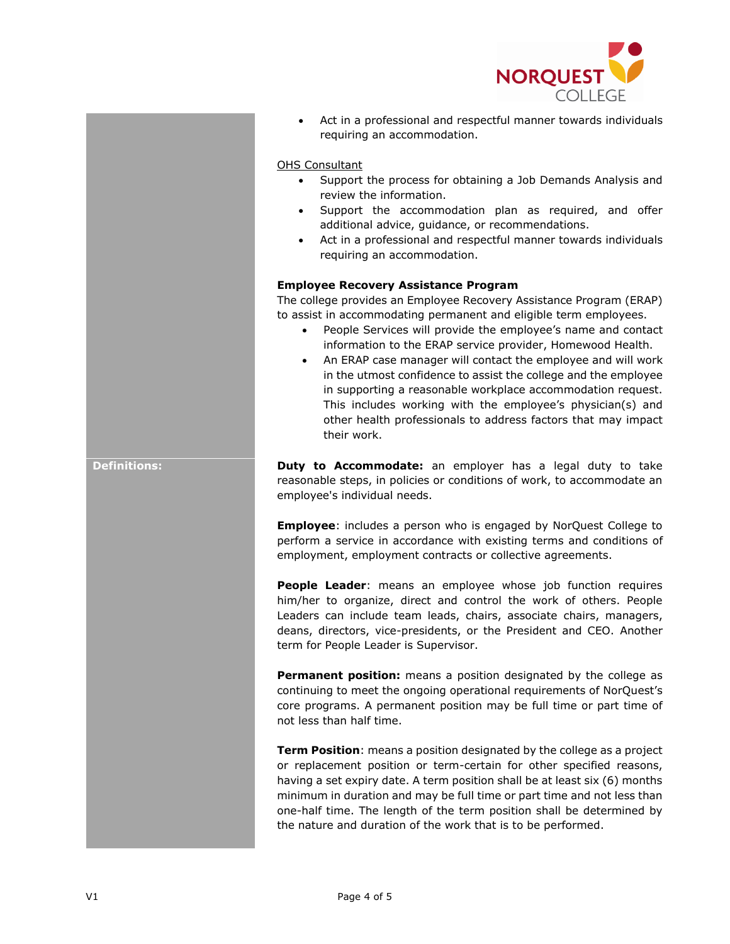

• Act in a professional and respectful manner towards individuals requiring an accommodation.

### OHS Consultant

- Support the process for obtaining a Job Demands Analysis and review the information.
- Support the accommodation plan as required, and offer additional advice, guidance, or recommendations.
- Act in a professional and respectful manner towards individuals requiring an accommodation.

### **Employee Recovery Assistance Program**

The college provides an Employee Recovery Assistance Program (ERAP) to assist in accommodating permanent and eligible term employees.

- People Services will provide the employee's name and contact information to the ERAP service provider, Homewood Health.
- An ERAP case manager will contact the employee and will work in the utmost confidence to assist the college and the employee in supporting a reasonable workplace accommodation request. This includes working with the employee's physician(s) and other health professionals to address factors that may impact their work.

**Definitions: Duty to Accommodate:** an employer has a legal duty to take reasonable steps, in policies or conditions of work, to accommodate an employee's individual needs.

> **Employee**: includes a person who is engaged by NorQuest College to perform a service in accordance with existing terms and conditions of employment, employment contracts or collective agreements.

> **People Leader**: means an employee whose job function requires him/her to organize, direct and control the work of others. People Leaders can include team leads, chairs, associate chairs, managers, deans, directors, vice-presidents, or the President and CEO. Another term for People Leader is Supervisor.

> **Permanent position:** means a position designated by the college as continuing to meet the ongoing operational requirements of NorQuest's core programs. A permanent position may be full time or part time of not less than half time.

> **Term Position**: means a position designated by the college as a project or replacement position or term-certain for other specified reasons, having a set expiry date. A term position shall be at least six (6) months minimum in duration and may be full time or part time and not less than one-half time. The length of the term position shall be determined by the nature and duration of the work that is to be performed.